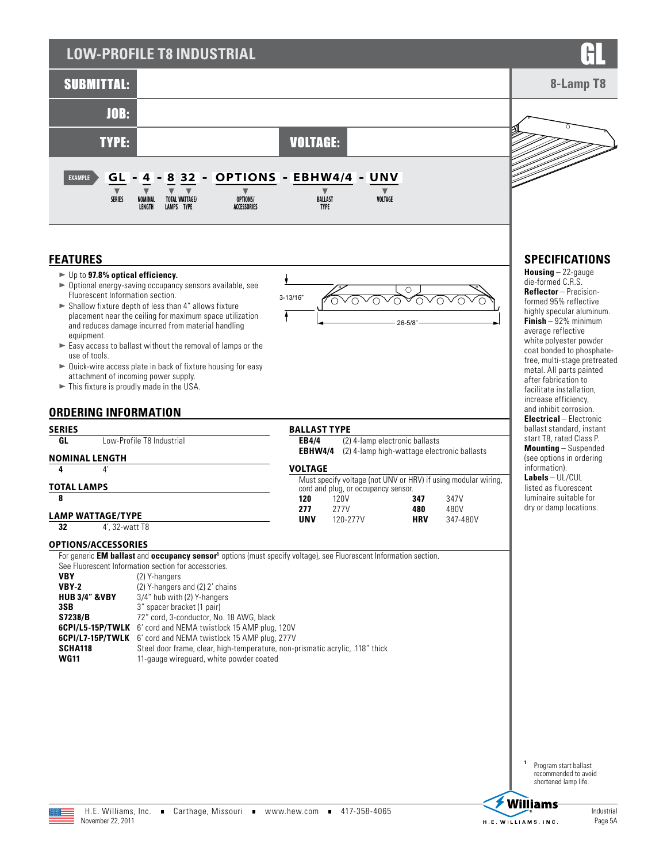# **LOW-PROFILE T8 INDUSTRIAL**



ᅙ

3-13/16"

t

Ā

26-5/8"

 $\overline{\Omega}$ 

 $\bigcirc$  $\sim$  vo

vovovo

### **FEATURES**

- ► Up to 97.8% optical efficiency.
- $\triangleright$  Optional energy-saving occupancy sensors available, see Fluorescent Information section.
- $\blacktriangleright$  Shallow fixture depth of less than 4" allows fixture placement near the ceiling for maximum space utilization and reduces damage incurred from material handling equipment.
- $\blacktriangleright$  Easy access to ballast without the removal of lamps or the use of tools.
- $\blacktriangleright$  Quick-wire access plate in back of fixture housing for easy attachment of incoming power supply.
- $\blacktriangleright$  This fixture is proudly made in the USA.

|                          |                            | <b>ORDERING INFORMATION</b>                                                                                                                           |                     |                                                                                                       |                                             |          |
|--------------------------|----------------------------|-------------------------------------------------------------------------------------------------------------------------------------------------------|---------------------|-------------------------------------------------------------------------------------------------------|---------------------------------------------|----------|
| SERIES                   |                            |                                                                                                                                                       | <b>BALLAST TYPE</b> |                                                                                                       |                                             |          |
| GL                       |                            | Low-Profile T8 Industrial                                                                                                                             | EB4/4               |                                                                                                       | (2) 4-lamp electronic ballasts              |          |
|                          | NOMINAL LENGTH             |                                                                                                                                                       | <b>EBHW4/4</b>      |                                                                                                       | (2) 4-lamp high-wattage electronic ballasts |          |
| 4                        | 4'                         |                                                                                                                                                       | <b>VOLTAGE</b>      |                                                                                                       |                                             |          |
| TOTAL LAMPS              |                            |                                                                                                                                                       |                     | Must specify voltage (not UNV or HRV) if using modular wiring,<br>cord and plug, or occupancy sensor. |                                             |          |
| 8                        |                            |                                                                                                                                                       | 120                 | 120V                                                                                                  | 347                                         | 347V     |
|                          |                            |                                                                                                                                                       | 277                 | 277V                                                                                                  | 480                                         | 480V     |
| <b>LAMP WATTAGE/TYPE</b> |                            |                                                                                                                                                       | <b>UNV</b>          | 120-277V                                                                                              | <b>HRV</b>                                  | 347-480V |
| 32                       | 4', 32-watt T8             |                                                                                                                                                       |                     |                                                                                                       |                                             |          |
|                          |                            |                                                                                                                                                       |                     |                                                                                                       |                                             |          |
|                          | <b>OPTIONS/ACCESSORIES</b> |                                                                                                                                                       |                     |                                                                                                       |                                             |          |
|                          |                            | For generic <b>EM ballast</b> and <b>occupancy sensor</b> <sup>1</sup> options (must specify voltage), see Fluorescent Information section.           |                     |                                                                                                       |                                             |          |
|                          |                            | See Fluorescent Information section for accessories.                                                                                                  |                     |                                                                                                       |                                             |          |
| <b>VBY</b>               |                            | (2) Y-hangers                                                                                                                                         |                     |                                                                                                       |                                             |          |
| VBY-2                    |                            | (2) Y-hangers and (2) 2' chains                                                                                                                       |                     |                                                                                                       |                                             |          |
| <b>HUB 3/4" &amp;VBY</b> |                            | 3/4" hub with (2) Y-hangers                                                                                                                           |                     |                                                                                                       |                                             |          |
| 3SB                      |                            |                                                                                                                                                       |                     |                                                                                                       |                                             |          |
|                          |                            | 3" spacer bracket (1 pair)                                                                                                                            |                     |                                                                                                       |                                             |          |
| S7238/B                  |                            | 72" cord, 3-conductor, No. 18 AWG, black                                                                                                              |                     |                                                                                                       |                                             |          |
|                          |                            | <b>6CPI/L5-15P/TWLK</b> 6' cord and NEMA twistlock 15 AMP plug, 120V                                                                                  |                     |                                                                                                       |                                             |          |
| SCHA118                  |                            | <b>6CPI/L7-15P/TWLK</b> 6' cord and NEMA twistlock 15 AMP plug, 277V<br>Steel door frame, clear, high-temperature, non-prismatic acrylic, .118" thick |                     |                                                                                                       |                                             |          |

# **SPECIFICATIONS**

**Housing** – 22-gauge die-formed C.R.S. **Reflector** – Precisionformed 95% reflective highly specular aluminum. **Finish** – 92% minimum average reflective white polyester powder coat bonded to phosphatefree, multi-stage pretreated metal. All parts painted after fabrication to facilitate installation, increase efficiency, and inhibit corrosion. **Electrical** – Electronic ballast standard, instant start T8, rated Class P. **Mounting** – Suspended (see options in ordering information). **Labels** – UL/CUL listed as fluorescent luminaire suitable for dry or damp locations.

**<sup>1</sup>** Program start ballast recommended to avoid shortened lamp life.



**Williams** 



November 22, 2011